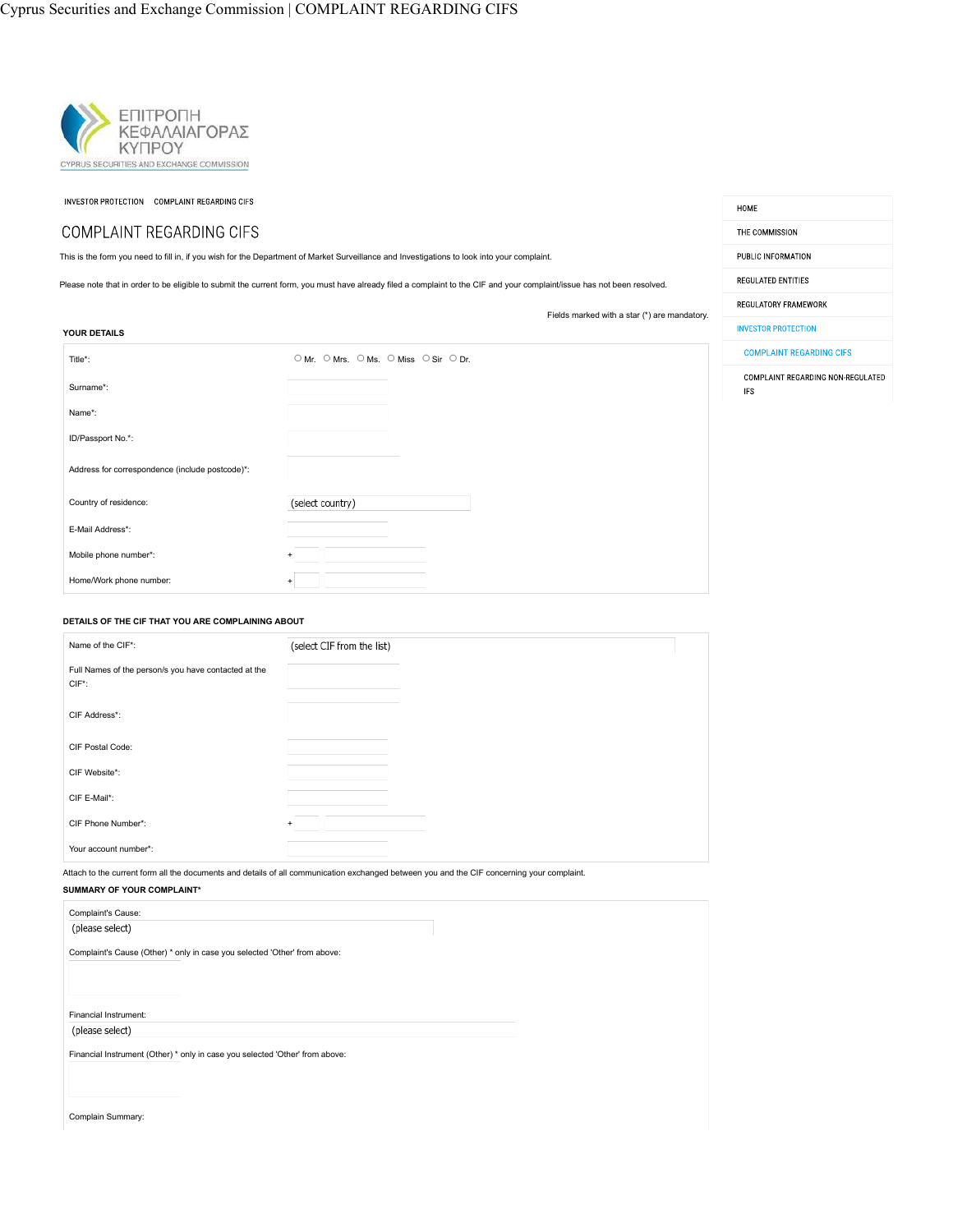

INVESTOR PROTECTION COMPLAINT REGARDING CIFS

## COMPLAINT REGARDING CIFS

This is the form you need to fill in, if you wish for the Department of Market Surveillance and Investigations to look into your complaint.

Please note that in order to be eligible to submit the current form, you must have already filed a complaint to the CIF and your complaint/issue has not been resolved.

Fields marked with a star (\*) are mandatory.

HOME

THE COMMISSION PUBLIC INFORMATION REGULATED ENTITIES REGULATORY FRAMEWORK

| YOUR DETAILS                                    |                                       | <b>INVESTOR PROTECTION</b>                      |
|-------------------------------------------------|---------------------------------------|-------------------------------------------------|
| Title*:                                         | O Mr. O Mrs. O Ms. O Miss O Sir O Dr. | <b>COMPLAINT REGARDING CIFS</b>                 |
| Surname*:                                       |                                       | COMPLAINT REGARDING NON-REGULATED<br><b>IFS</b> |
| Name*:                                          |                                       |                                                 |
| ID/Passport No.*:                               |                                       |                                                 |
| Address for correspondence (include postcode)*: |                                       |                                                 |
| Country of residence:                           | (select country)                      |                                                 |
| E-Mail Address*:                                |                                       |                                                 |
| Mobile phone number*:                           | $\ddot{}$                             |                                                 |
| Home/Work phone number:                         | $\ddot{}$                             |                                                 |
|                                                 |                                       |                                                 |

#### **DETAILS OF THE CIF THAT YOU ARE COMPLAINING ABOUT**

| Name of the CIF*:                                                 | (select CIF from the list) |  |
|-------------------------------------------------------------------|----------------------------|--|
| Full Names of the person/s you have contacted at the<br>$CIF^*$ : |                            |  |
| CIF Address*:                                                     |                            |  |
| CIF Postal Code:                                                  |                            |  |
| CIF Website*:                                                     |                            |  |
| CIF E-Mail*:                                                      |                            |  |
| CIF Phone Number*:                                                | $\ddot{}$                  |  |
| Your account number*:                                             |                            |  |

Attach to the current form all the documents and details of all communication exchanged between you and the CIF concerning your complaint.

| SUMMARY OF YOUR COMPLAINT*                                                   |  |
|------------------------------------------------------------------------------|--|
| Complaint's Cause:                                                           |  |
| (please select)                                                              |  |
| Complaint's Cause (Other) * only in case you selected 'Other' from above:    |  |
|                                                                              |  |
|                                                                              |  |
| Financial Instrument:                                                        |  |
| (please select)                                                              |  |
| Financial Instrument (Other) * only in case you selected 'Other' from above: |  |
|                                                                              |  |
|                                                                              |  |
|                                                                              |  |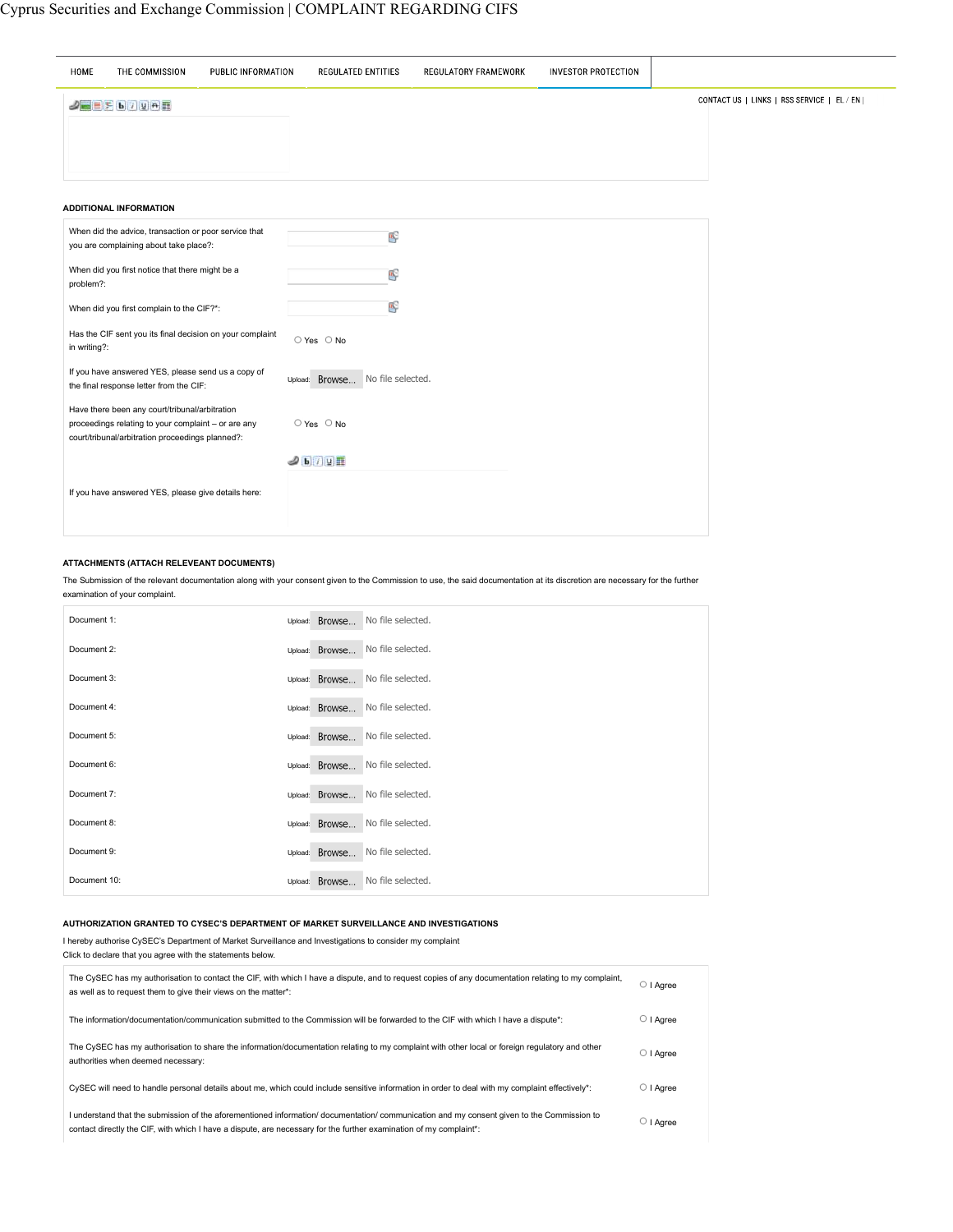| HOME         | THE COMMISSION                                                                                                                                            | PUBLIC INFORMATION | <b>REGULATED ENTITIES</b>        | <b>REGULATORY FRAMEWORK</b> | <b>INVESTOR PROTECTION</b> |                                            |
|--------------|-----------------------------------------------------------------------------------------------------------------------------------------------------------|--------------------|----------------------------------|-----------------------------|----------------------------|--------------------------------------------|
|              | $2$ $\equiv$ $5$ $\sqrt{u}$ $\rightarrow$ $\equiv$                                                                                                        |                    |                                  |                             |                            | CONTACT US   LINKS   RSS SERVICE   EL / EN |
|              |                                                                                                                                                           |                    |                                  |                             |                            |                                            |
|              |                                                                                                                                                           |                    |                                  |                             |                            |                                            |
|              | <b>ADDITIONAL INFORMATION</b>                                                                                                                             |                    |                                  |                             |                            |                                            |
|              | When did the advice, transaction or poor service that<br>you are complaining about take place?:                                                           |                    | œ                                |                             |                            |                                            |
| problem?:    | When did you first notice that there might be a                                                                                                           |                    | 吗                                |                             |                            |                                            |
|              | When did you first complain to the CIF?*:                                                                                                                 |                    | 吗                                |                             |                            |                                            |
| in writing?: | Has the CIF sent you its final decision on your complaint                                                                                                 |                    | ○ Yes ○ No                       |                             |                            |                                            |
|              | If you have answered YES, please send us a copy of<br>the final response letter from the CIF:                                                             |                    | Upload: Browse No file selected. |                             |                            |                                            |
|              | Have there been any court/tribunal/arbitration<br>proceedings relating to your complaint - or are any<br>court/tribunal/arbitration proceedings planned?: |                    | ○ Yes ○ No                       |                             |                            |                                            |
|              |                                                                                                                                                           |                    | J b / U H                        |                             |                            |                                            |
|              | If you have answered YES, please give details here:                                                                                                       |                    |                                  |                             |                            |                                            |
|              |                                                                                                                                                           |                    |                                  |                             |                            |                                            |

### **ATTACHMENTS (ATTACH RELEVEANT DOCUMENTS)**

The Submission of the relevant documentation along with your consent given to the Commission to use, the said documentation at its discretion are necessary for the further examination of your complaint.

| Document 1:  | Upload: Browse | No file selected. |
|--------------|----------------|-------------------|
| Document 2:  | Upload: Browse | No file selected. |
| Document 3:  | Upload: Browse | No file selected. |
| Document 4:  | Upload: Browse | No file selected. |
| Document 5:  | Upload: Browse | No file selected. |
| Document 6:  | Upload: Browse | No file selected. |
| Document 7:  | Upload: Browse | No file selected. |
| Document 8:  | Upload: Browse | No file selected. |
| Document 9:  | Upload: Browse | No file selected. |
| Document 10: | Upload: Browse | No file selected. |

#### **AUTHORIZATION GRANTED TO CYSEC'S DEPARTMENT OF MARKET SURVEILLANCE AND INVESTIGATIONS**

I hereby authorise CySEC's Department of Market Surveillance and Investigations to consider my complaint Click to declare that you agree with the statements below.

| The CySEC has my authorisation to contact the CIF, with which I have a dispute, and to request copies of any documentation relating to my complaint,<br>as well as to request them to give their views on the matter*:                                           | ○ I Aaree       |
|------------------------------------------------------------------------------------------------------------------------------------------------------------------------------------------------------------------------------------------------------------------|-----------------|
| The information/documentation/communication submitted to the Commission will be forwarded to the CIF with which I have a dispute*:                                                                                                                               | $\circ$   Agree |
| The CvSEC has my authorisation to share the information/documentation relating to my complaint with other local or foreign regulatory and other<br>authorities when deemed necessary:                                                                            | $\circ$   Agree |
| CySEC will need to handle personal details about me, which could include sensitive information in order to deal with my complaint effectively*:                                                                                                                  | $\circ$   Agree |
| I understand that the submission of the aforementioned information/ documentation/ communication and my consent given to the Commission to<br>contact directly the CIF, with which I have a dispute, are necessary for the further examination of my complaint*; | ○ I Aaree       |